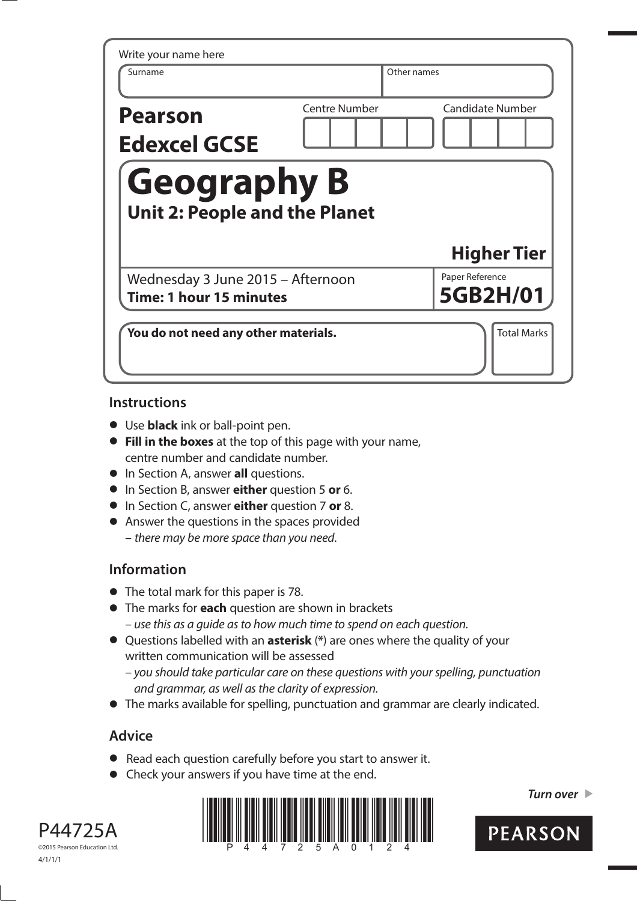| Surname                                                      |                      | Other names                 |
|--------------------------------------------------------------|----------------------|-----------------------------|
| <b>Pearson</b><br><b>Edexcel GCSE</b>                        | <b>Centre Number</b> | <b>Candidate Number</b>     |
| <b>Geography B</b><br><b>Unit 2: People and the Planet</b>   |                      |                             |
|                                                              |                      |                             |
|                                                              |                      | <b>Higher Tier</b>          |
| Wednesday 3 June 2015 - Afternoon<br>Time: 1 hour 15 minutes |                      | Paper Reference<br>5GB2H/01 |

## **Instructions**

- **•** Use **black** ink or ball-point pen.
- **• Fill in the boxes** at the top of this page with your name, centre number and candidate number.
- **•** In Section A, answer **all** questions.
- **•** In Section B, answer **either** question 5 **or** 6.
- In Section B, answer **either** question 5 **or** 6.<br>● In Section C, answer **either** question 7 **or** 8.
- In Section C, answer **either** question 7 or 8.<br>• Answer the questions in the spaces provided – there may be more space than you need.

## **Information**

- **•** The total mark for this paper is 78.
- **•** The marks for **each** question are shown in brackets – use this as a guide as to how much time to spend on each question.
- **•** Questions labelled with an **asterisk** (**\***) are ones where the quality of your written communication will be assessed
	- you should take particular care on these questions with your spelling, punctuation and grammar, as well as the clarity of expression.
- **•** The marks available for spelling, punctuation and grammar are clearly indicated.

## **Advice**

- **•** Read each question carefully before you start to answer it.
- **•** Check your answers if you have time at the end.



**Turn over** 



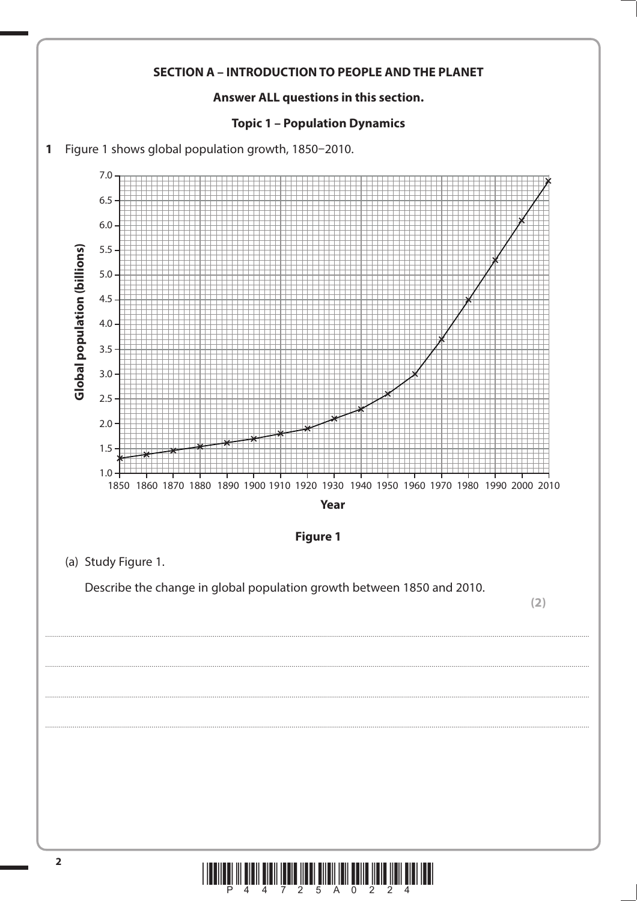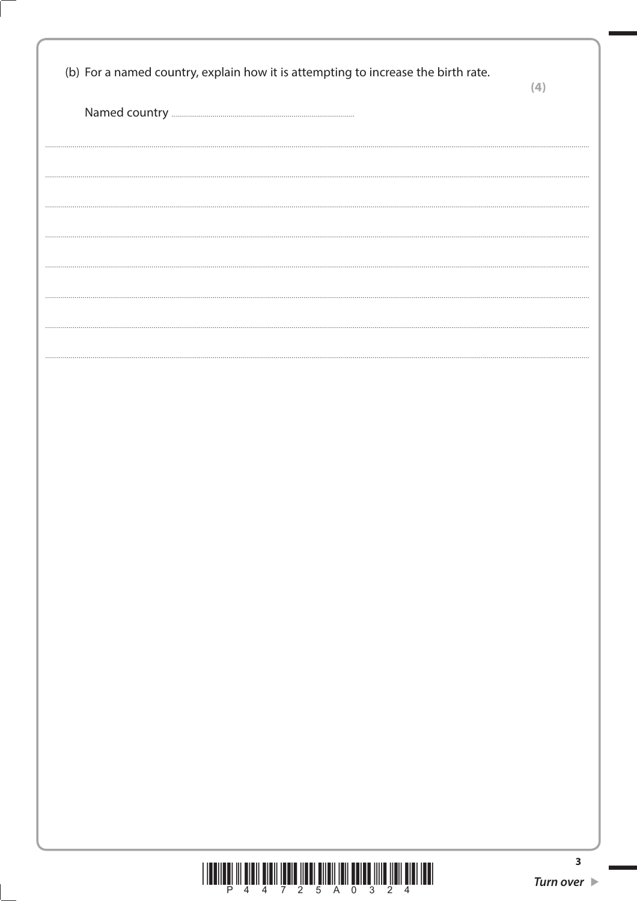|  | $\overline{\mathbf{3}}$ |
|--|-------------------------|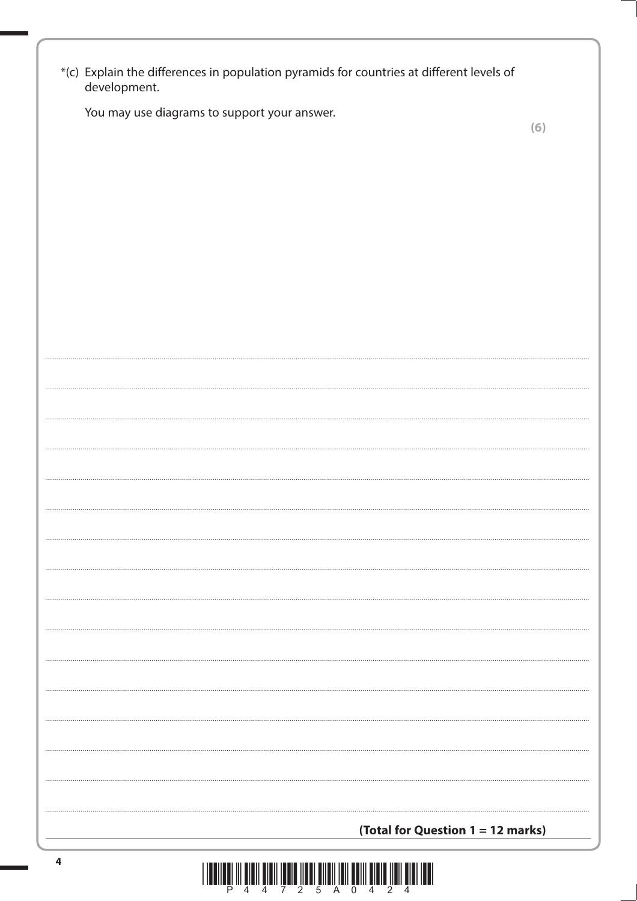| *(c) Explain the differences in population pyramids for countries at different levels of<br>development. |     |
|----------------------------------------------------------------------------------------------------------|-----|
| You may use diagrams to support your answer.                                                             | (6) |
|                                                                                                          |     |
|                                                                                                          |     |
|                                                                                                          |     |
|                                                                                                          |     |
|                                                                                                          |     |
|                                                                                                          |     |
|                                                                                                          |     |
|                                                                                                          |     |
|                                                                                                          |     |
|                                                                                                          |     |
|                                                                                                          |     |
|                                                                                                          |     |
|                                                                                                          |     |
|                                                                                                          |     |
|                                                                                                          |     |
|                                                                                                          |     |
|                                                                                                          |     |
|                                                                                                          |     |
|                                                                                                          |     |
|                                                                                                          |     |
|                                                                                                          |     |
| (Total for Question 1 = 12 marks)<br>4                                                                   |     |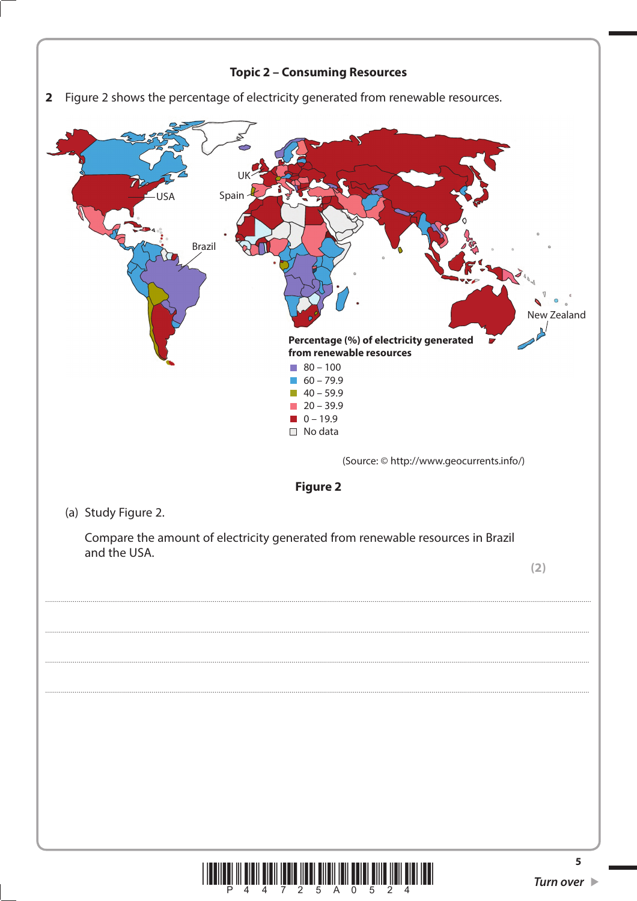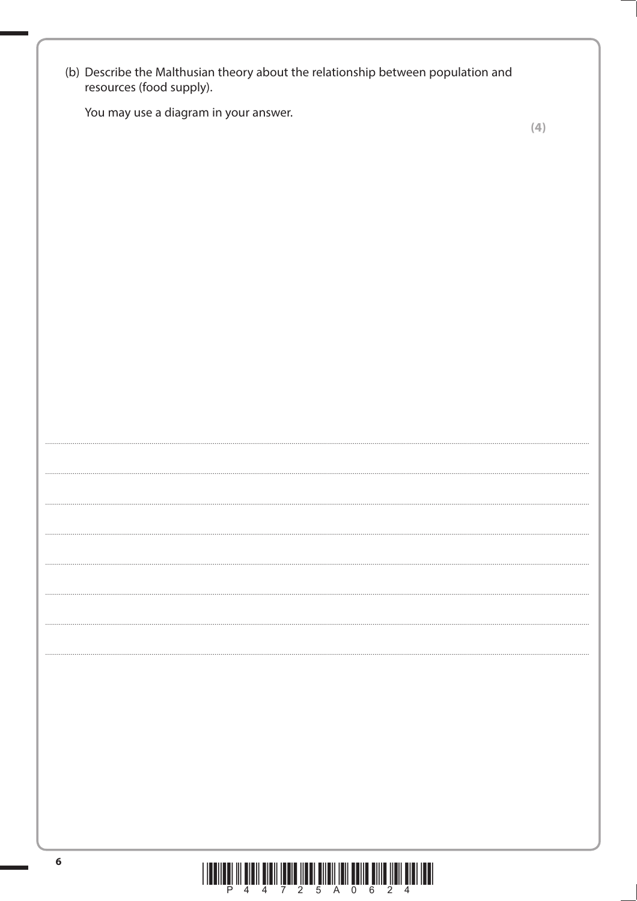| (b) Describe the Malthusian theory about the relationship between population and |
|----------------------------------------------------------------------------------|
| resources (food supply).                                                         |

You may use a diagram in your answer.

 $\left( 4\right)$ 

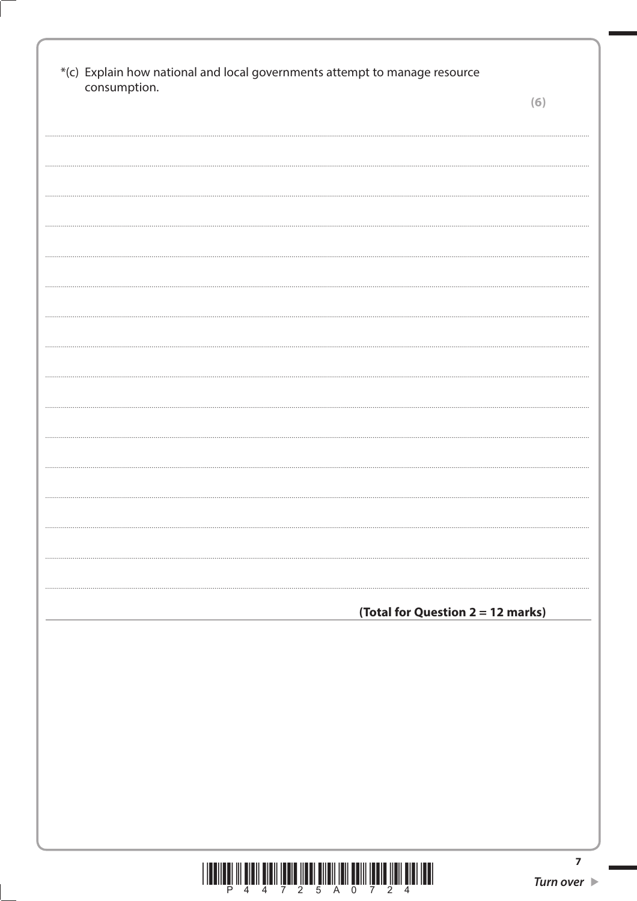| *(c) Explain how national and local governments attempt to manage resource<br>consumption. |     |  |  |  |
|--------------------------------------------------------------------------------------------|-----|--|--|--|
|                                                                                            | (6) |  |  |  |
|                                                                                            |     |  |  |  |
|                                                                                            |     |  |  |  |
|                                                                                            |     |  |  |  |
|                                                                                            |     |  |  |  |
|                                                                                            |     |  |  |  |
|                                                                                            |     |  |  |  |
|                                                                                            |     |  |  |  |
|                                                                                            |     |  |  |  |
|                                                                                            |     |  |  |  |
|                                                                                            |     |  |  |  |
|                                                                                            |     |  |  |  |
|                                                                                            |     |  |  |  |
|                                                                                            |     |  |  |  |
| (Total for Question 2 = 12 marks)                                                          |     |  |  |  |
|                                                                                            |     |  |  |  |
|                                                                                            |     |  |  |  |
|                                                                                            |     |  |  |  |
|                                                                                            |     |  |  |  |
|                                                                                            |     |  |  |  |
|                                                                                            |     |  |  |  |
|                                                                                            |     |  |  |  |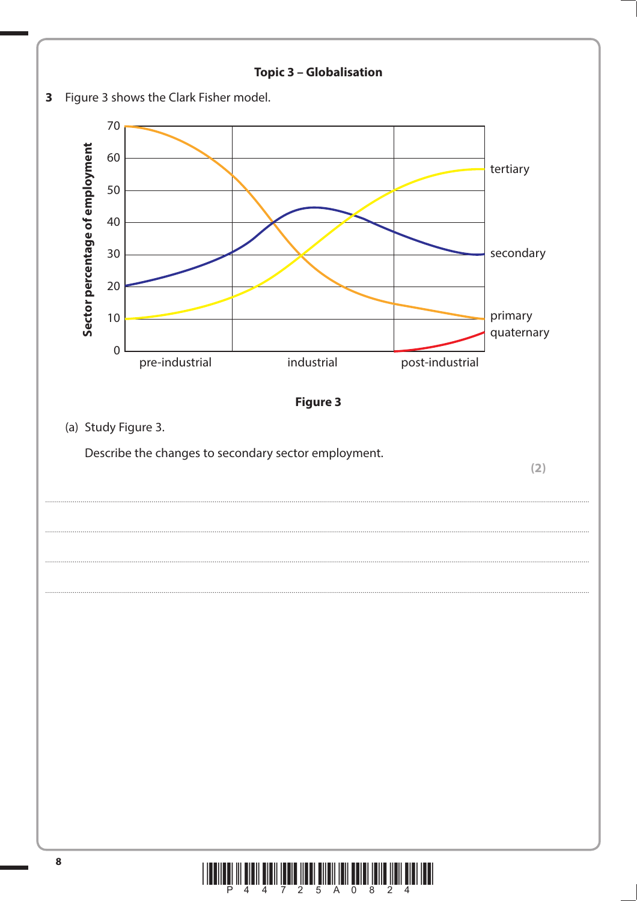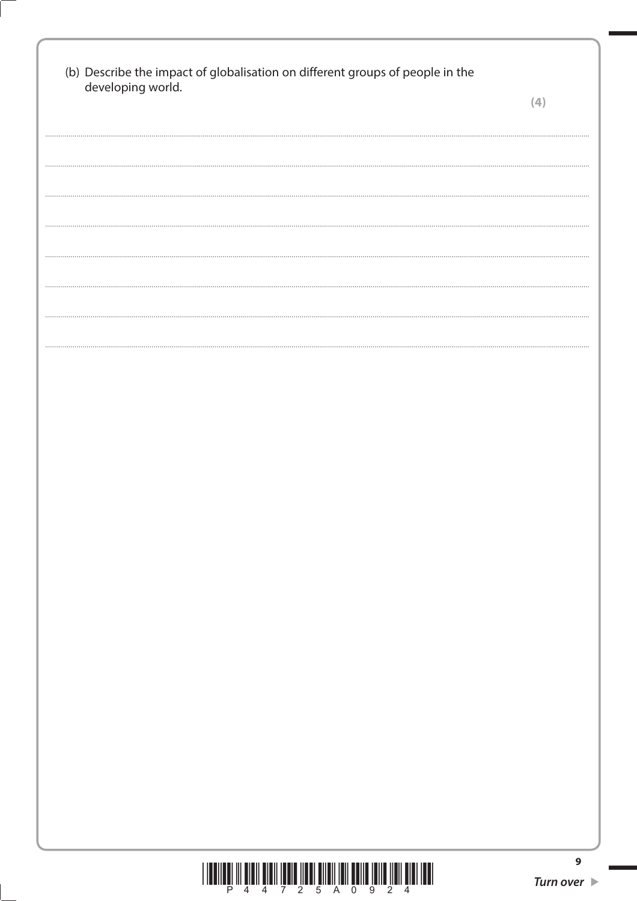| developing world.                                                                                                                                                                                                                                                                                                                                                                                                                                             | (4)              |
|---------------------------------------------------------------------------------------------------------------------------------------------------------------------------------------------------------------------------------------------------------------------------------------------------------------------------------------------------------------------------------------------------------------------------------------------------------------|------------------|
|                                                                                                                                                                                                                                                                                                                                                                                                                                                               |                  |
|                                                                                                                                                                                                                                                                                                                                                                                                                                                               |                  |
|                                                                                                                                                                                                                                                                                                                                                                                                                                                               |                  |
|                                                                                                                                                                                                                                                                                                                                                                                                                                                               |                  |
|                                                                                                                                                                                                                                                                                                                                                                                                                                                               |                  |
|                                                                                                                                                                                                                                                                                                                                                                                                                                                               |                  |
|                                                                                                                                                                                                                                                                                                                                                                                                                                                               |                  |
|                                                                                                                                                                                                                                                                                                                                                                                                                                                               |                  |
|                                                                                                                                                                                                                                                                                                                                                                                                                                                               |                  |
|                                                                                                                                                                                                                                                                                                                                                                                                                                                               |                  |
|                                                                                                                                                                                                                                                                                                                                                                                                                                                               |                  |
|                                                                                                                                                                                                                                                                                                                                                                                                                                                               |                  |
|                                                                                                                                                                                                                                                                                                                                                                                                                                                               |                  |
|                                                                                                                                                                                                                                                                                                                                                                                                                                                               |                  |
|                                                                                                                                                                                                                                                                                                                                                                                                                                                               |                  |
|                                                                                                                                                                                                                                                                                                                                                                                                                                                               |                  |
|                                                                                                                                                                                                                                                                                                                                                                                                                                                               |                  |
|                                                                                                                                                                                                                                                                                                                                                                                                                                                               |                  |
|                                                                                                                                                                                                                                                                                                                                                                                                                                                               |                  |
|                                                                                                                                                                                                                                                                                                                                                                                                                                                               |                  |
|                                                                                                                                                                                                                                                                                                                                                                                                                                                               |                  |
|                                                                                                                                                                                                                                                                                                                                                                                                                                                               |                  |
|                                                                                                                                                                                                                                                                                                                                                                                                                                                               |                  |
|                                                                                                                                                                                                                                                                                                                                                                                                                                                               |                  |
|                                                                                                                                                                                                                                                                                                                                                                                                                                                               |                  |
| $\begin{array}{c} \text{if} \ \text{if} \ \text{if} \ \text{if} \ \text{if} \ \text{if} \ \text{if} \ \text{if} \ \text{if} \ \text{if} \ \text{if} \ \text{if} \ \text{if} \ \text{if} \ \text{if} \ \text{if} \ \text{if} \ \text{if} \ \text{if} \ \text{if} \ \text{if} \ \text{if} \ \text{if} \ \text{if} \ \text{if} \ \text{if} \ \text{if} \ \text{if} \ \text{if} \ \text{if} \ \text{if} \ \text{if} \ \text{if} \ \text{if} \ \text{if} \ \text{$ | $\boldsymbol{9}$ |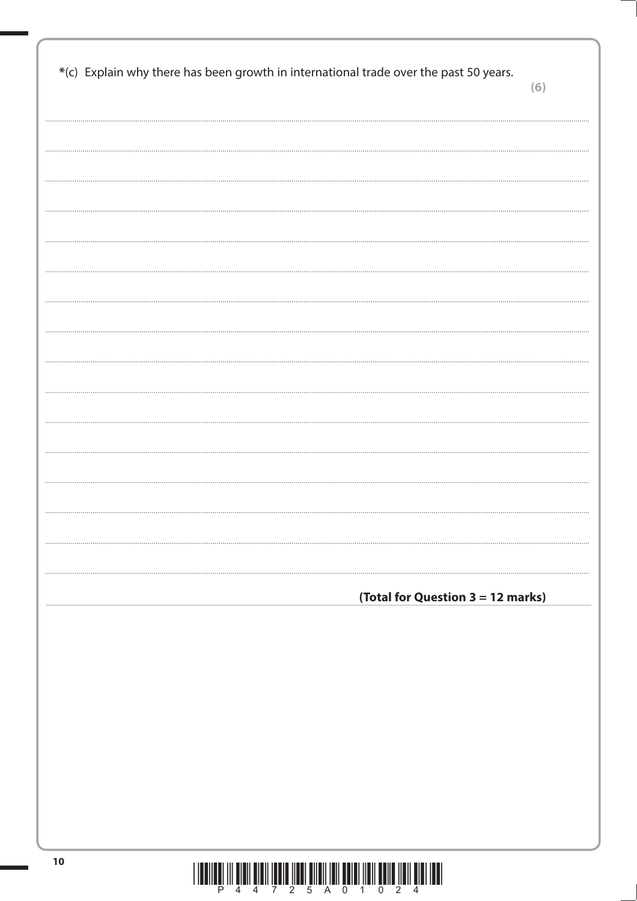| *(c) Explain why there has been growth in international trade over the past 50 years. |                                   | (6) |
|---------------------------------------------------------------------------------------|-----------------------------------|-----|
|                                                                                       |                                   |     |
|                                                                                       |                                   |     |
|                                                                                       |                                   |     |
|                                                                                       |                                   |     |
|                                                                                       |                                   |     |
|                                                                                       |                                   |     |
|                                                                                       |                                   |     |
|                                                                                       |                                   |     |
|                                                                                       |                                   |     |
|                                                                                       |                                   |     |
|                                                                                       |                                   |     |
|                                                                                       |                                   |     |
|                                                                                       |                                   |     |
|                                                                                       |                                   |     |
|                                                                                       |                                   |     |
|                                                                                       |                                   |     |
|                                                                                       |                                   |     |
|                                                                                       |                                   |     |
|                                                                                       |                                   |     |
|                                                                                       |                                   |     |
|                                                                                       |                                   |     |
|                                                                                       |                                   |     |
|                                                                                       | (Total for Question 3 = 12 marks) |     |
|                                                                                       |                                   |     |
|                                                                                       |                                   |     |
|                                                                                       |                                   |     |
|                                                                                       |                                   |     |
|                                                                                       |                                   |     |
|                                                                                       |                                   |     |
|                                                                                       |                                   |     |
|                                                                                       |                                   |     |
|                                                                                       |                                   |     |
|                                                                                       |                                   |     |
|                                                                                       |                                   |     |
|                                                                                       |                                   |     |

 $\frac{1}{2}\left(\frac{1}{2}\right)\left(\frac{1}{2}\right)\left(\frac{1}{2}\right)\left(\frac{1}{2}\right)\left(\frac{1}{2}\right)\left(\frac{1}{2}\right)\left(\frac{1}{2}\right)\left(\frac{1}{2}\right)\left(\frac{1}{2}\right)\left(\frac{1}{2}\right)\left(\frac{1}{2}\right)\left(\frac{1}{2}\right)\left(\frac{1}{2}\right)\left(\frac{1}{2}\right)\left(\frac{1}{2}\right)\left(\frac{1}{2}\right)\left(\frac{1}{2}\right)\left(\frac{1}{2}\right)\left(\frac{1}{2}\right)\left(\frac{1}{2}\right)\left(\frac{1}{2}\right)\left(\frac$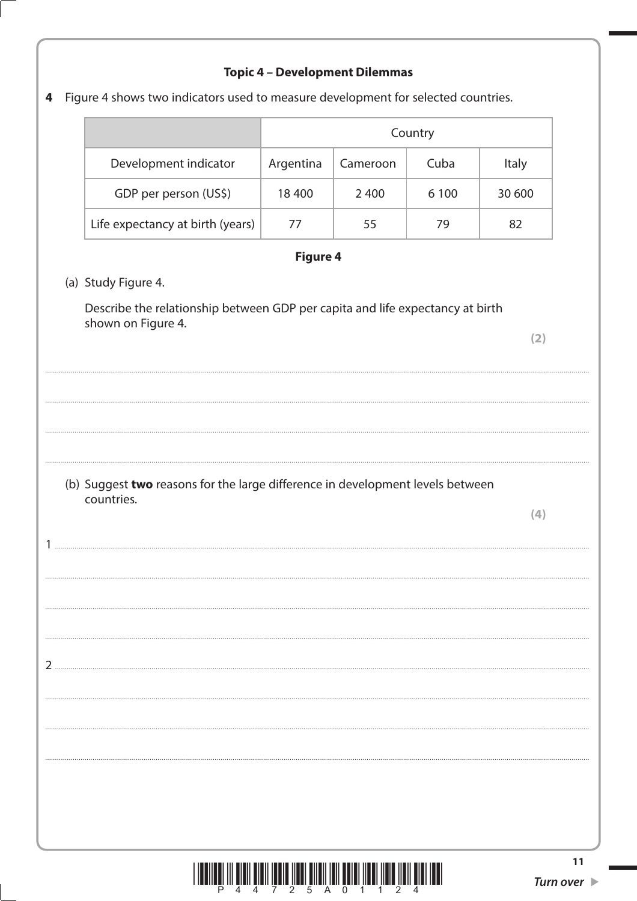| Figure 4 shows two indicators used to measure development for selected countries.            |                 |          |         |        |
|----------------------------------------------------------------------------------------------|-----------------|----------|---------|--------|
|                                                                                              |                 |          | Country |        |
| Development indicator                                                                        | Argentina       | Cameroon | Cuba    | Italy  |
| GDP per person (US\$)                                                                        | 18 400          | 2 4 0 0  | 6 100   | 30 600 |
| Life expectancy at birth (years)                                                             | 77              | 55       | 79      | 82     |
|                                                                                              | <b>Figure 4</b> |          |         |        |
| (a) Study Figure 4.                                                                          |                 |          |         |        |
| Describe the relationship between GDP per capita and life expectancy at birth                |                 |          |         |        |
| shown on Figure 4.                                                                           |                 |          |         | (2)    |
|                                                                                              |                 |          |         |        |
|                                                                                              |                 |          |         |        |
|                                                                                              |                 |          |         |        |
|                                                                                              |                 |          |         |        |
|                                                                                              |                 |          |         |        |
|                                                                                              |                 |          |         |        |
|                                                                                              |                 |          |         |        |
|                                                                                              |                 |          |         |        |
| (b) Suggest two reasons for the large difference in development levels between<br>countries. |                 |          |         |        |
|                                                                                              |                 |          |         | (4)    |
|                                                                                              |                 |          |         |        |
|                                                                                              |                 |          |         |        |
|                                                                                              |                 |          |         |        |
|                                                                                              |                 |          |         |        |
|                                                                                              |                 |          |         |        |
|                                                                                              |                 |          |         |        |
|                                                                                              |                 |          |         |        |
|                                                                                              |                 |          |         |        |
|                                                                                              |                 |          |         |        |
|                                                                                              |                 |          |         |        |
|                                                                                              |                 |          |         |        |
|                                                                                              |                 |          |         |        |

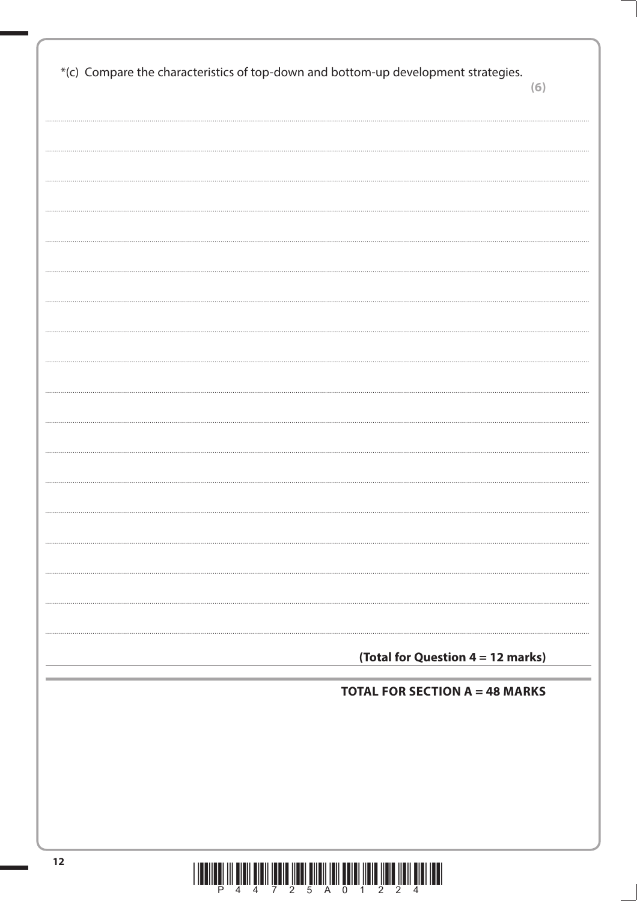|    | *(c) Compare the characteristics of top-down and bottom-up development strategies. | (6)                                   |  |
|----|------------------------------------------------------------------------------------|---------------------------------------|--|
|    |                                                                                    |                                       |  |
|    |                                                                                    |                                       |  |
|    |                                                                                    |                                       |  |
|    |                                                                                    |                                       |  |
|    |                                                                                    |                                       |  |
|    |                                                                                    |                                       |  |
|    |                                                                                    |                                       |  |
|    |                                                                                    |                                       |  |
|    |                                                                                    |                                       |  |
|    |                                                                                    |                                       |  |
|    |                                                                                    |                                       |  |
|    |                                                                                    |                                       |  |
|    |                                                                                    |                                       |  |
|    |                                                                                    |                                       |  |
|    |                                                                                    |                                       |  |
|    |                                                                                    |                                       |  |
|    |                                                                                    | (Total for Question 4 = 12 marks)     |  |
|    |                                                                                    | <b>TOTAL FOR SECTION A = 48 MARKS</b> |  |
|    |                                                                                    |                                       |  |
|    |                                                                                    |                                       |  |
|    |                                                                                    |                                       |  |
|    |                                                                                    |                                       |  |
| 12 |                                                                                    |                                       |  |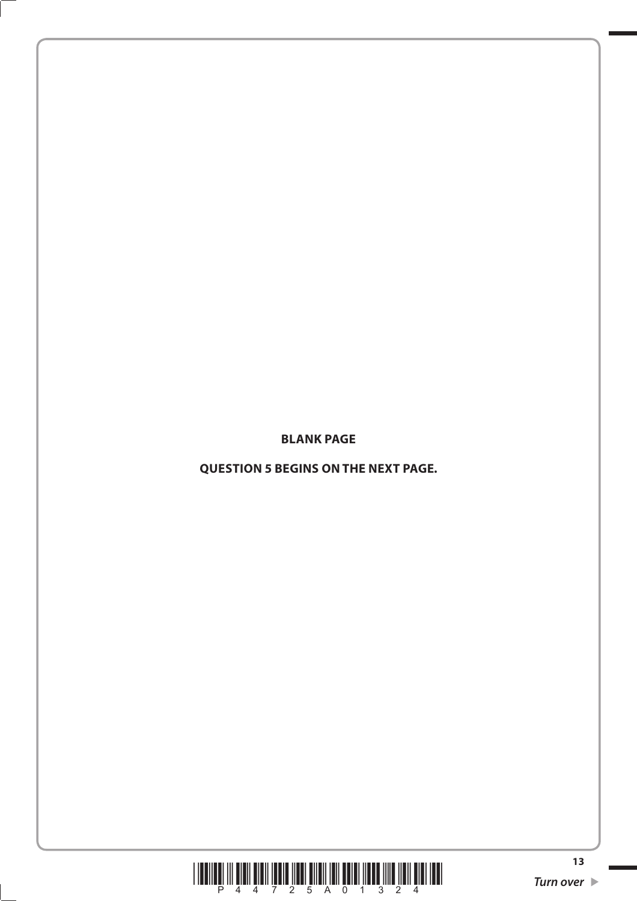**QUESTION 5 BEGINS ON THE NEXT PAGE.**

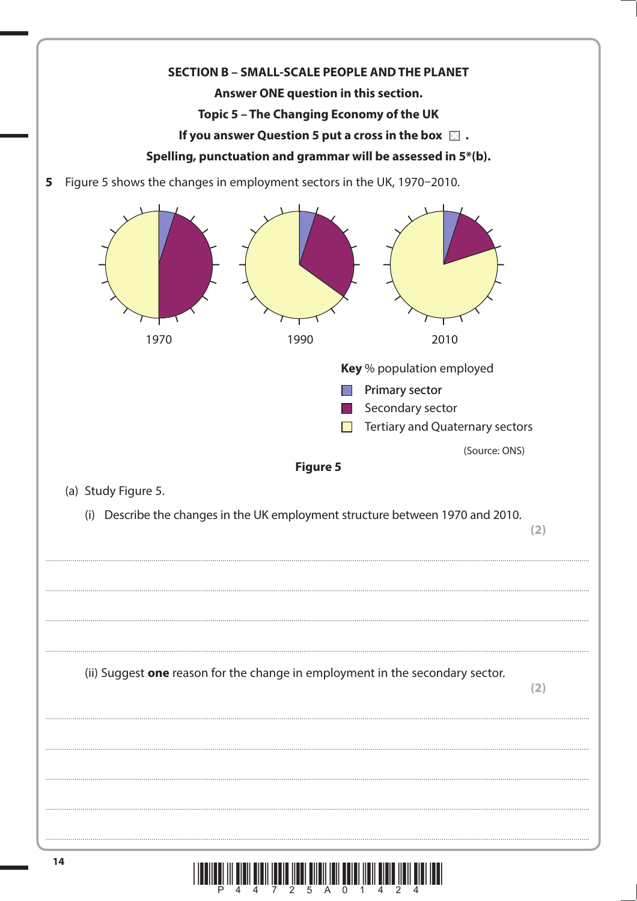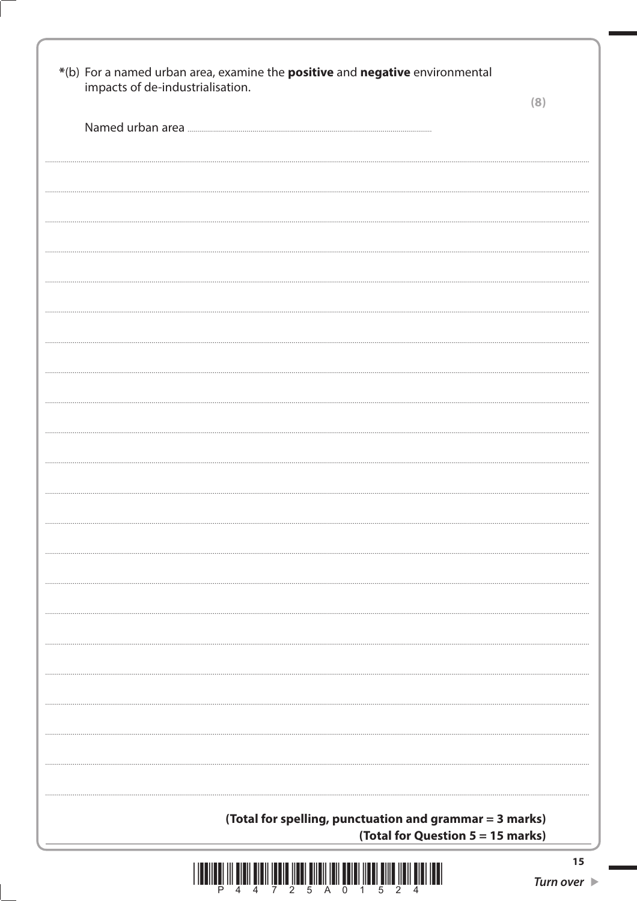| *(b) For a named urban area, examine the <b>positive</b> and <b>negative</b> environmental<br>impacts of de-industrialisation. | (8) |
|--------------------------------------------------------------------------------------------------------------------------------|-----|
|                                                                                                                                |     |
|                                                                                                                                |     |
|                                                                                                                                |     |
|                                                                                                                                |     |
|                                                                                                                                |     |
|                                                                                                                                |     |
|                                                                                                                                |     |
|                                                                                                                                |     |
|                                                                                                                                |     |
|                                                                                                                                |     |
|                                                                                                                                |     |
|                                                                                                                                |     |
|                                                                                                                                |     |
|                                                                                                                                |     |
|                                                                                                                                |     |
|                                                                                                                                |     |
|                                                                                                                                |     |
|                                                                                                                                |     |
|                                                                                                                                |     |
| (Total for spelling, punctuation and grammar = 3 marks)<br>(Total for Question 5 = 15 marks)                                   |     |

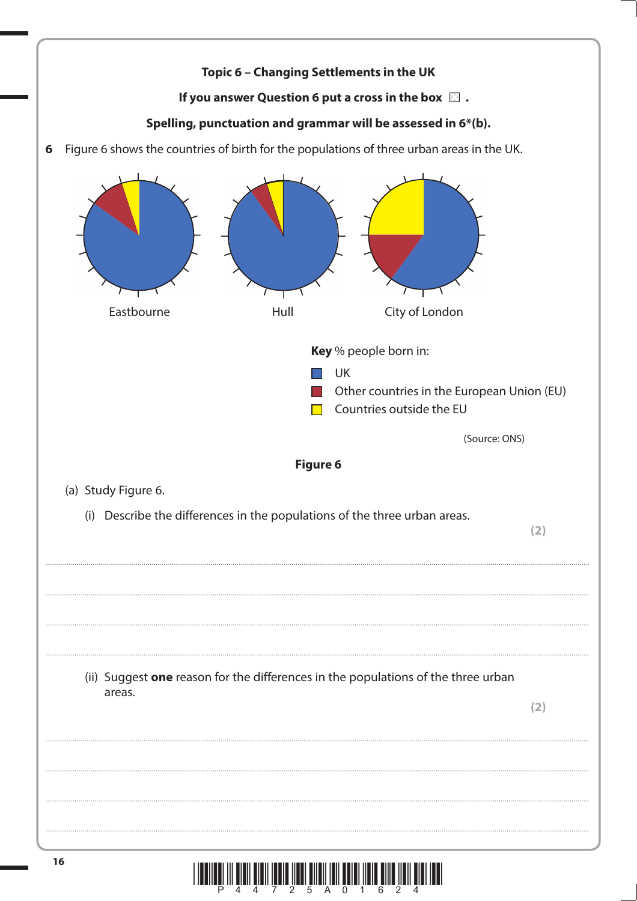

5 A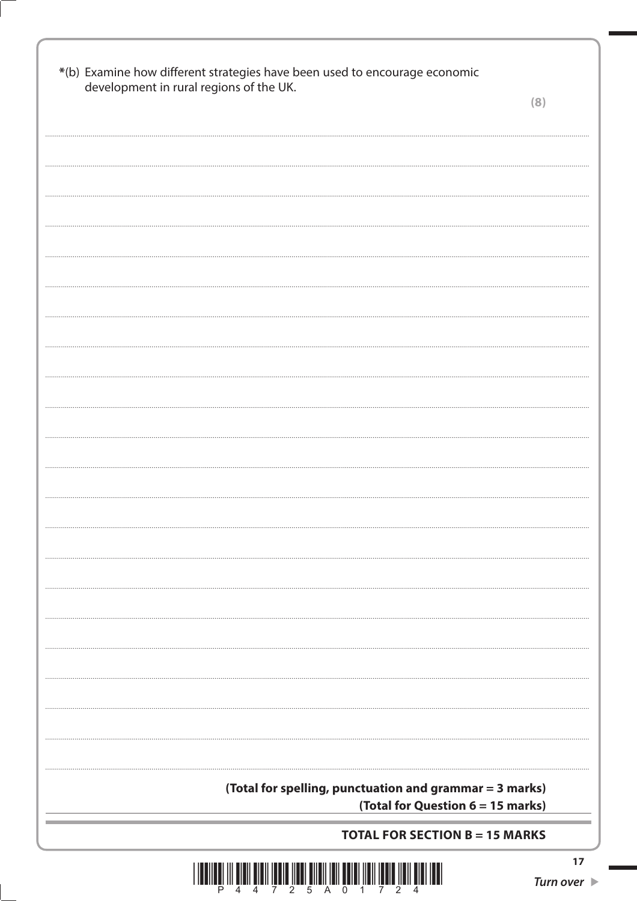| *(b) Examine how different strategies have been used to encourage economic<br>development in rural regions of the UK. |                                       |
|-----------------------------------------------------------------------------------------------------------------------|---------------------------------------|
|                                                                                                                       | (8)                                   |
|                                                                                                                       |                                       |
|                                                                                                                       |                                       |
|                                                                                                                       |                                       |
|                                                                                                                       |                                       |
|                                                                                                                       |                                       |
|                                                                                                                       |                                       |
|                                                                                                                       |                                       |
|                                                                                                                       |                                       |
|                                                                                                                       |                                       |
|                                                                                                                       |                                       |
|                                                                                                                       |                                       |
|                                                                                                                       |                                       |
|                                                                                                                       |                                       |
|                                                                                                                       |                                       |
|                                                                                                                       |                                       |
|                                                                                                                       |                                       |
|                                                                                                                       |                                       |
|                                                                                                                       |                                       |
|                                                                                                                       |                                       |
|                                                                                                                       |                                       |
|                                                                                                                       |                                       |
|                                                                                                                       |                                       |
|                                                                                                                       |                                       |
|                                                                                                                       |                                       |
|                                                                                                                       |                                       |
|                                                                                                                       |                                       |
|                                                                                                                       |                                       |
|                                                                                                                       |                                       |
|                                                                                                                       |                                       |
|                                                                                                                       |                                       |
|                                                                                                                       |                                       |
|                                                                                                                       |                                       |
|                                                                                                                       |                                       |
|                                                                                                                       |                                       |
|                                                                                                                       |                                       |
|                                                                                                                       |                                       |
|                                                                                                                       |                                       |
|                                                                                                                       |                                       |
|                                                                                                                       |                                       |
| (Total for spelling, punctuation and grammar = 3 marks)<br>(Total for Question 6 = 15 marks)                          |                                       |
|                                                                                                                       | <b>TOTAL FOR SECTION B = 15 MARKS</b> |

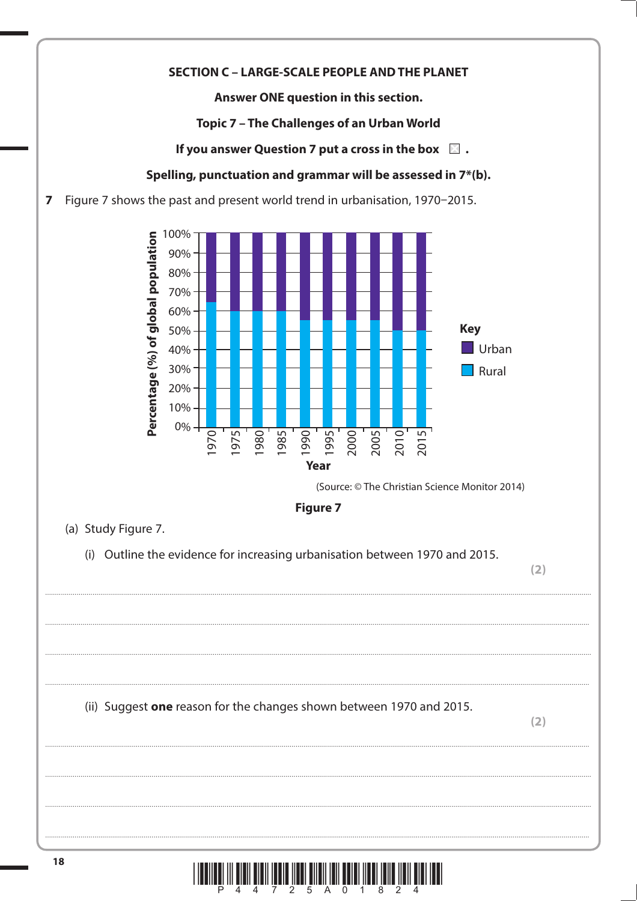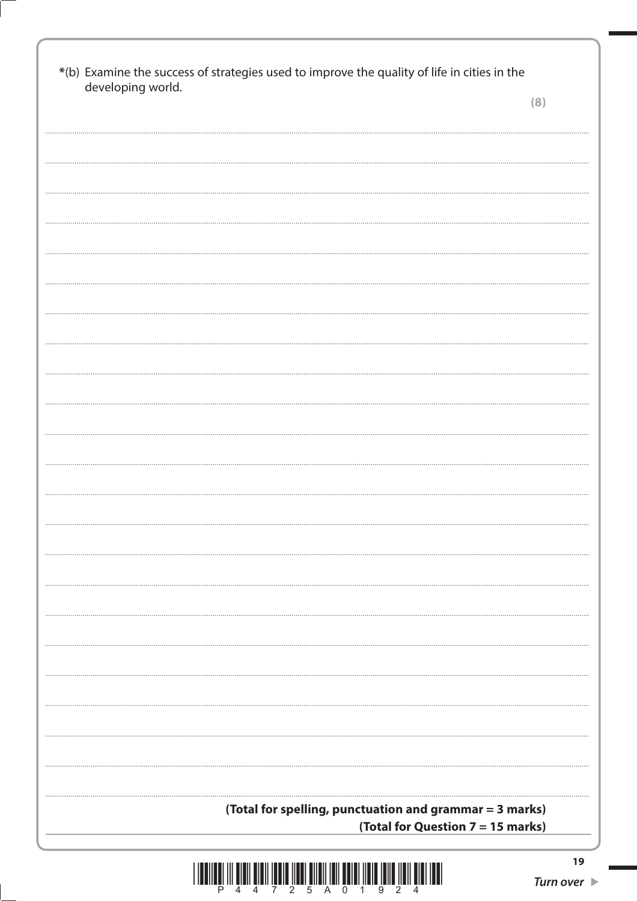| developing world. |                                                         |     |
|-------------------|---------------------------------------------------------|-----|
|                   |                                                         | (8) |
|                   |                                                         |     |
|                   |                                                         |     |
|                   |                                                         |     |
|                   |                                                         |     |
|                   |                                                         |     |
|                   |                                                         |     |
|                   |                                                         |     |
|                   |                                                         |     |
|                   |                                                         |     |
|                   |                                                         |     |
|                   |                                                         |     |
|                   |                                                         |     |
|                   |                                                         |     |
|                   |                                                         |     |
|                   |                                                         |     |
|                   |                                                         |     |
|                   |                                                         |     |
|                   |                                                         |     |
|                   |                                                         |     |
|                   |                                                         |     |
|                   |                                                         |     |
|                   |                                                         |     |
|                   |                                                         |     |
|                   |                                                         |     |
|                   |                                                         |     |
|                   |                                                         |     |
|                   |                                                         |     |
|                   |                                                         |     |
|                   |                                                         |     |
|                   |                                                         |     |
|                   |                                                         |     |
|                   |                                                         |     |
|                   |                                                         |     |
|                   | (Total for spelling, punctuation and grammar = 3 marks) |     |

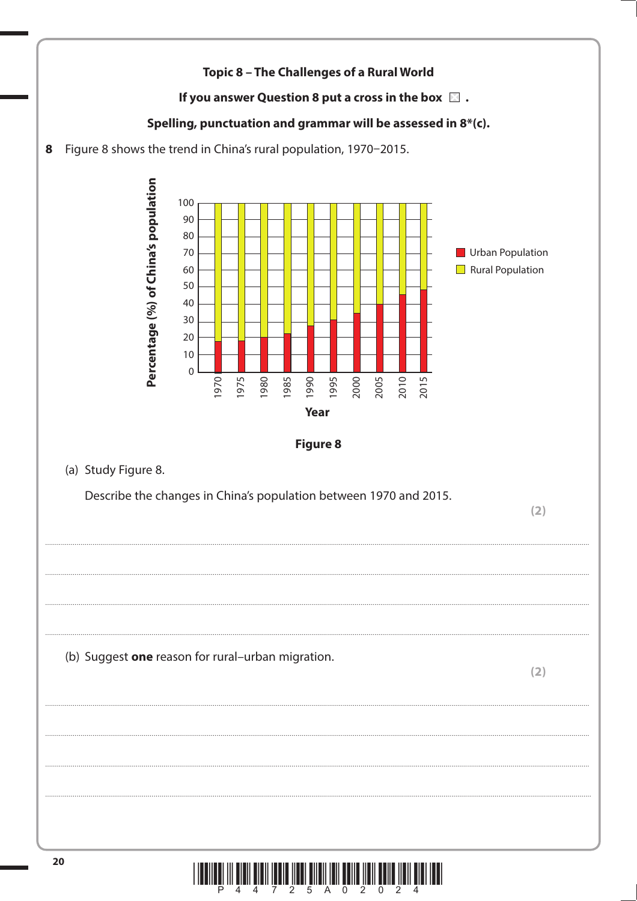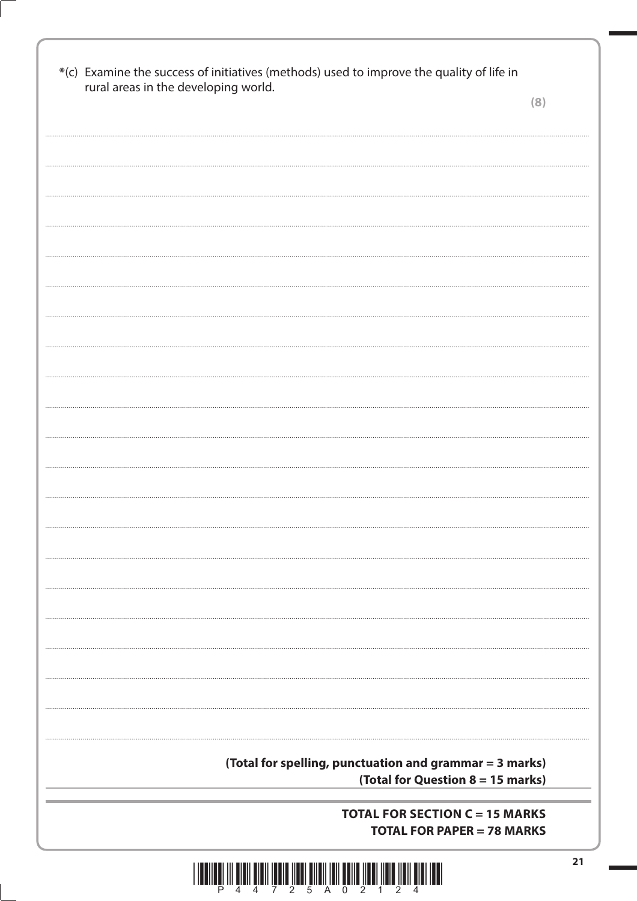\*(c) Examine the success of initiatives (methods) used to improve the quality of life in rural areas in the developing world.  $(8)$ (Total for spelling, punctuation and grammar = 3 marks) (Total for Question 8 = 15 marks) **TOTAL FOR SECTION C = 15 MARKS TOTAL FOR PAPER = 78 MARKS** 

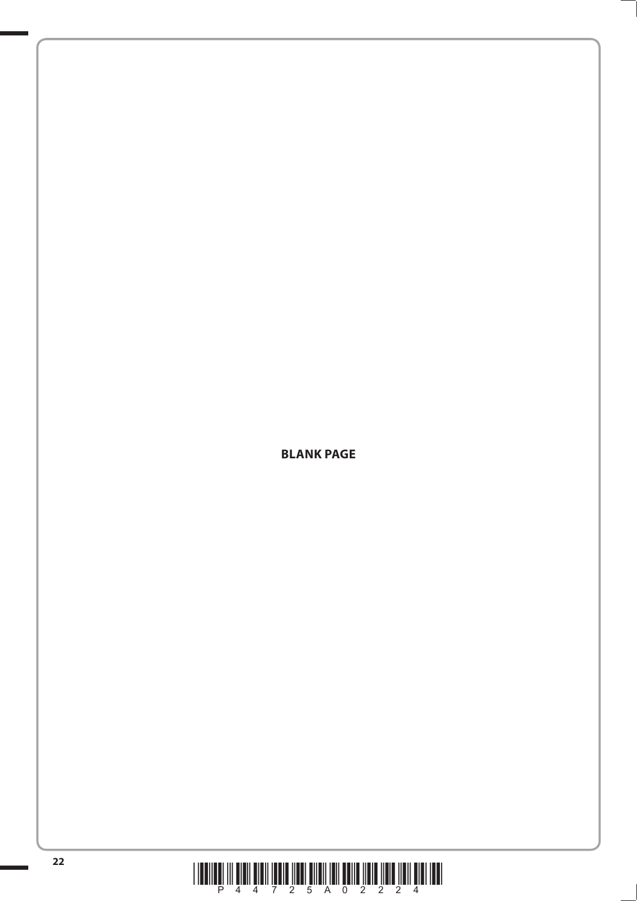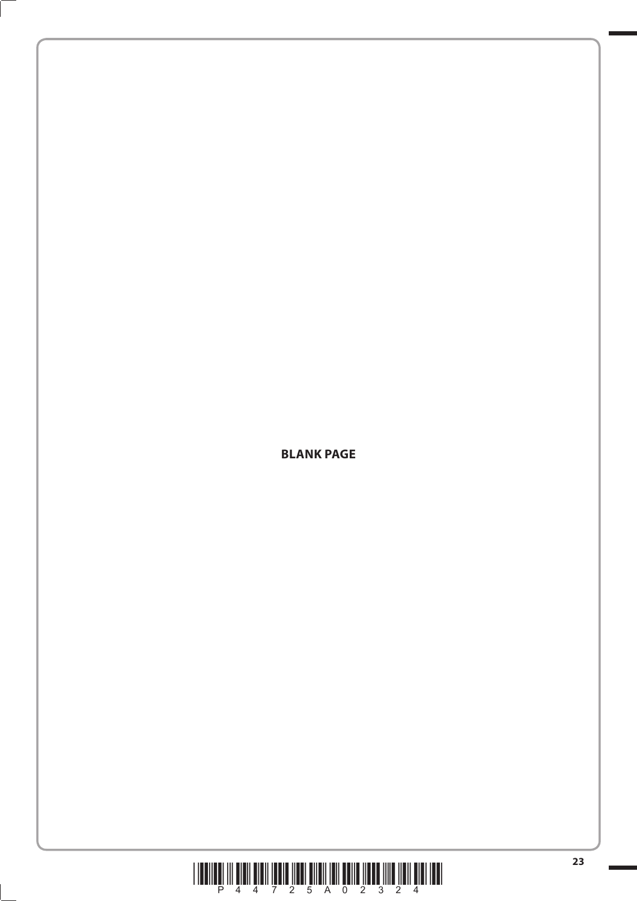